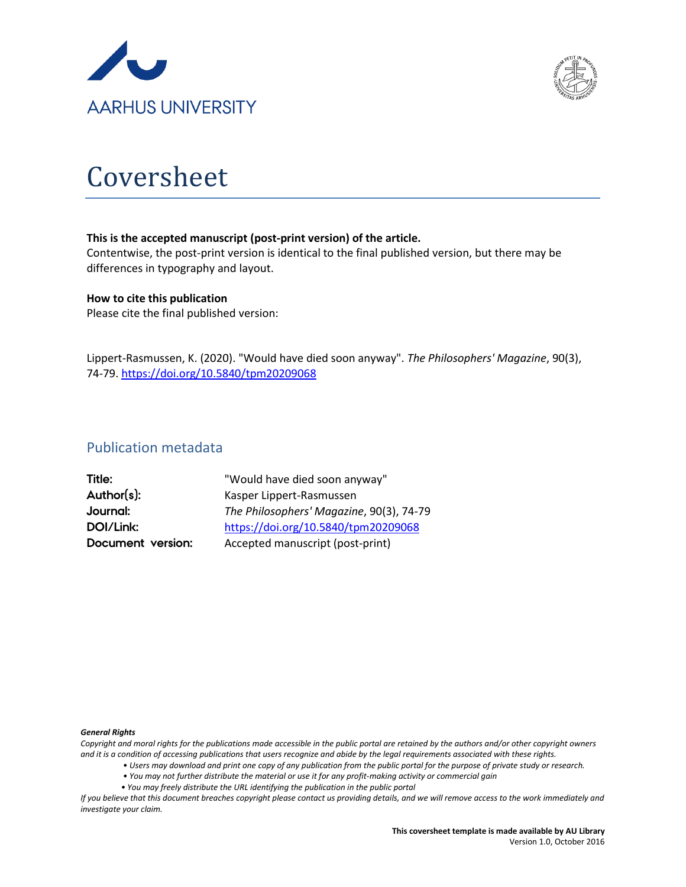



# Coversheet

### **This is the accepted manuscript (post-print version) of the article.**

Contentwise, the post-print version is identical to the final published version, but there may be differences in typography and layout.

#### **How to cite this publication**

Please cite the final published version:

Lippert-Rasmussen, K. (2020). "Would have died soon anyway". *The Philosophers' Magazine*, 90(3), 74-79.<https://doi.org/10.5840/tpm20209068>

# Publication metadata

| "Would have died soon anyway"            |
|------------------------------------------|
| Kasper Lippert-Rasmussen                 |
| The Philosophers' Magazine, 90(3), 74-79 |
| https://doi.org/10.5840/tpm20209068      |
| Accepted manuscript (post-print)         |
|                                          |

#### *General Rights*

*Copyright and moral rights for the publications made accessible in the public portal are retained by the authors and/or other copyright owners and it is a condition of accessing publications that users recognize and abide by the legal requirements associated with these rights.*

- *Users may download and print one copy of any publication from the public portal for the purpose of private study or research.*
- *You may not further distribute the material or use it for any profit-making activity or commercial gain*
- *You may freely distribute the URL identifying the publication in the public portal*

*If you believe that this document breaches copyright please contact us providing details, and we will remove access to the work immediately and investigate your claim.*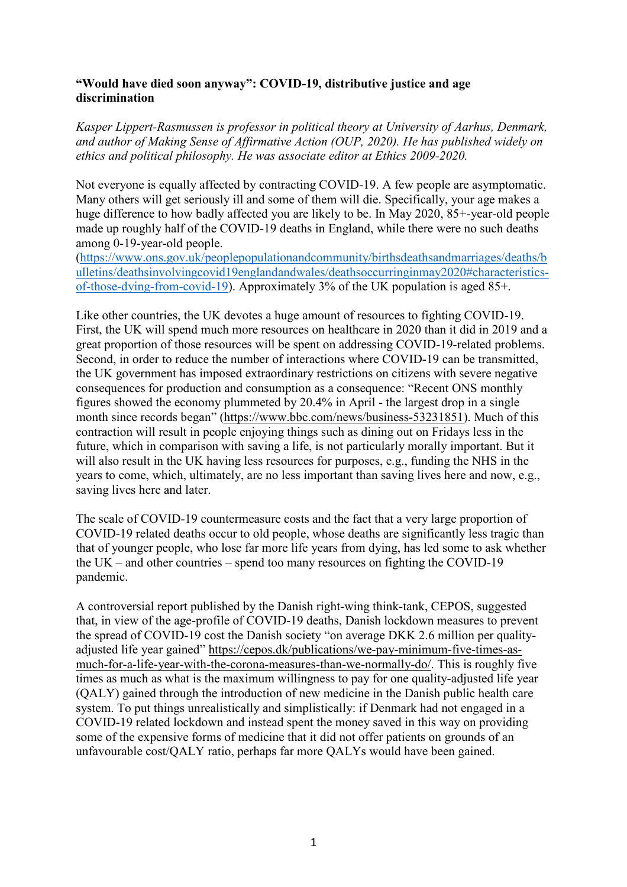## **"Would have died soon anyway": COVID-19, distributive justice and age discrimination**

*Kasper Lippert-Rasmussen is professor in political theory at University of Aarhus, Denmark, and author of Making Sense of Affirmative Action (OUP, 2020). He has published widely on ethics and political philosophy. He was associate editor at Ethics 2009-2020.*

Not everyone is equally affected by contracting COVID-19. A few people are asymptomatic. Many others will get seriously ill and some of them will die. Specifically, your age makes a huge difference to how badly affected you are likely to be. In May 2020, 85+-year-old people made up roughly half of the COVID-19 deaths in England, while there were no such deaths among 0-19-year-old people.

[\(https://www.ons.gov.uk/peoplepopulationandcommunity/birthsdeathsandmarriages/deaths/b](https://www.ons.gov.uk/peoplepopulationandcommunity/birthsdeathsandmarriages/deaths/bulletins/deathsinvolvingcovid19englandandwales/deathsoccurringinmay2020#characteristics-of-those-dying-from-covid-19) [ulletins/deathsinvolvingcovid19englandandwales/deathsoccurringinmay2020#characteristics](https://www.ons.gov.uk/peoplepopulationandcommunity/birthsdeathsandmarriages/deaths/bulletins/deathsinvolvingcovid19englandandwales/deathsoccurringinmay2020#characteristics-of-those-dying-from-covid-19)[of-those-dying-from-covid-19\)](https://www.ons.gov.uk/peoplepopulationandcommunity/birthsdeathsandmarriages/deaths/bulletins/deathsinvolvingcovid19englandandwales/deathsoccurringinmay2020#characteristics-of-those-dying-from-covid-19). Approximately 3% of the UK population is aged 85+.

Like other countries, the UK devotes a huge amount of resources to fighting COVID-19. First, the UK will spend much more resources on healthcare in 2020 than it did in 2019 and a great proportion of those resources will be spent on addressing COVID-19-related problems. Second, in order to reduce the number of interactions where COVID-19 can be transmitted, the UK government has imposed extraordinary restrictions on citizens with severe negative consequences for production and consumption as a consequence: "Recent ONS monthly figures showed the economy [plummeted](https://www.bbc.co.uk/news/business-53019360) by 20.4% in April - the largest drop in a single month since records began" [\(https://www.bbc.com/news/business-53231851\)](https://www.bbc.com/news/business-53231851). Much of this contraction will result in people enjoying things such as dining out on Fridays less in the future, which in comparison with saving a life, is not particularly morally important. But it will also result in the UK having less resources for purposes, e.g., funding the NHS in the years to come, which, ultimately, are no less important than saving lives here and now, e.g., saving lives here and later.

The scale of COVID-19 countermeasure costs and the fact that a very large proportion of COVID-19 related deaths occur to old people, whose deaths are significantly less tragic than that of younger people, who lose far more life years from dying, has led some to ask whether the UK – and other countries – spend too many resources on fighting the COVID-19 pandemic.

A controversial report published by the Danish right-wing think-tank, CEPOS, suggested that, in view of the age-profile of COVID-19 deaths, Danish lockdown measures to prevent the spread of COVID-19 cost the Danish society "on average DKK 2.6 million per qualityadjusted life year gained" [https://cepos.dk/publications/we-pay-minimum-five-times-as](https://cepos.dk/publications/we-pay-minimum-five-times-as-much-for-a-life-year-with-the-corona-measures-than-we-normally-do/)[much-for-a-life-year-with-the-corona-measures-than-we-normally-do/.](https://cepos.dk/publications/we-pay-minimum-five-times-as-much-for-a-life-year-with-the-corona-measures-than-we-normally-do/) This is roughly five times as much as what is the maximum willingness to pay for one quality-adjusted life year (QALY) gained through the introduction of new medicine in the Danish public health care system. To put things unrealistically and simplistically: if Denmark had not engaged in a COVID-19 related lockdown and instead spent the money saved in this way on providing some of the expensive forms of medicine that it did not offer patients on grounds of an unfavourable cost/QALY ratio, perhaps far more QALYs would have been gained.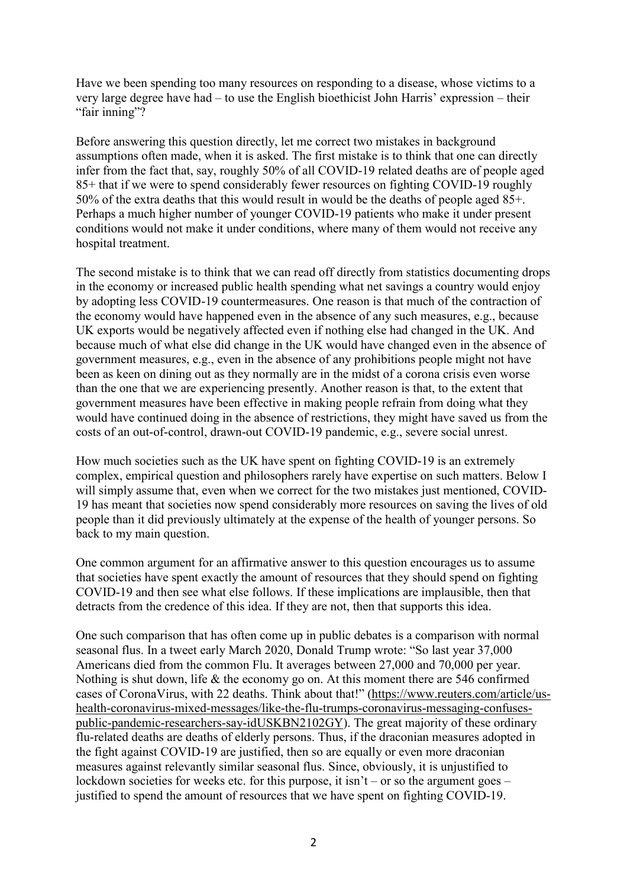Have we been spending too many resources on responding to a disease, whose victims to a very large degree have had – to use the English bioethicist John Harris' expression – their "fair inning"?

Before answering this question directly, let me correct two mistakes in background assumptions often made, when it is asked. The first mistake is to think that one can directly infer from the fact that, say, roughly 50% of all COVID-19 related deaths are of people aged 85+ that if we were to spend considerably fewer resources on fighting COVID-19 roughly 50% of the extra deaths that this would result in would be the deaths of people aged 85+. Perhaps a much higher number of younger COVID-19 patients who make it under present conditions would not make it under conditions, where many of them would not receive any hospital treatment.

The second mistake is to think that we can read off directly from statistics documenting drops in the economy or increased public health spending what net savings a country would enjoy by adopting less COVID-19 countermeasures. One reason is that much of the contraction of the economy would have happened even in the absence of any such measures, e.g., because UK exports would be negatively affected even if nothing else had changed in the UK. And because much of what else did change in the UK would have changed even in the absence of government measures, e.g., even in the absence of any prohibitions people might not have been as keen on dining out as they normally are in the midst of a corona crisis even worse than the one that we are experiencing presently. Another reason is that, to the extent that government measures have been effective in making people refrain from doing what they would have continued doing in the absence of restrictions, they might have saved us from the costs of an out-of-control, drawn-out COVID-19 pandemic, e.g., severe social unrest.

How much societies such as the UK have spent on fighting COVID-19 is an extremely complex, empirical question and philosophers rarely have expertise on such matters. Below I will simply assume that, even when we correct for the two mistakes just mentioned, COVID-19 has meant that societies now spend considerably more resources on saving the lives of old people than it did previously ultimately at the expense of the health of younger persons. So back to my main question.

One common argument for an affirmative answer to this question encourages us to assume that societies have spent exactly the amount of resources that they should spend on fighting COVID-19 and then see what else follows. If these implications are implausible, then that detracts from the credence of this idea. If they are not, then that supports this idea.

One such comparison that has often come up in public debates is a comparison with normal seasonal flus. In a tweet early March 2020, Donald Trump wrote: "So last year 37,000 Americans died from the common Flu. It averages between 27,000 and 70,000 per year. Nothing is shut down, life & the economy go on. At this moment there are 546 confirmed cases of CoronaVirus, with 22 deaths. Think about that!" [\(https://www.reuters.com/article/us](https://www.reuters.com/article/us-health-coronavirus-mixed-messages/like-the-flu-trumps-coronavirus-messaging-confuses-public-pandemic-researchers-say-idUSKBN2102GY)[health-coronavirus-mixed-messages/like-the-flu-trumps-coronavirus-messaging-confuses](https://www.reuters.com/article/us-health-coronavirus-mixed-messages/like-the-flu-trumps-coronavirus-messaging-confuses-public-pandemic-researchers-say-idUSKBN2102GY)[public-pandemic-researchers-say-idUSKBN2102GY\)](https://www.reuters.com/article/us-health-coronavirus-mixed-messages/like-the-flu-trumps-coronavirus-messaging-confuses-public-pandemic-researchers-say-idUSKBN2102GY). The great majority of these ordinary flu-related deaths are deaths of elderly persons. Thus, if the draconian measures adopted in the fight against COVID-19 are justified, then so are equally or even more draconian measures against relevantly similar seasonal flus. Since, obviously, it is unjustified to lockdown societies for weeks etc. for this purpose, it isn't – or so the argument goes – justified to spend the amount of resources that we have spent on fighting COVID-19.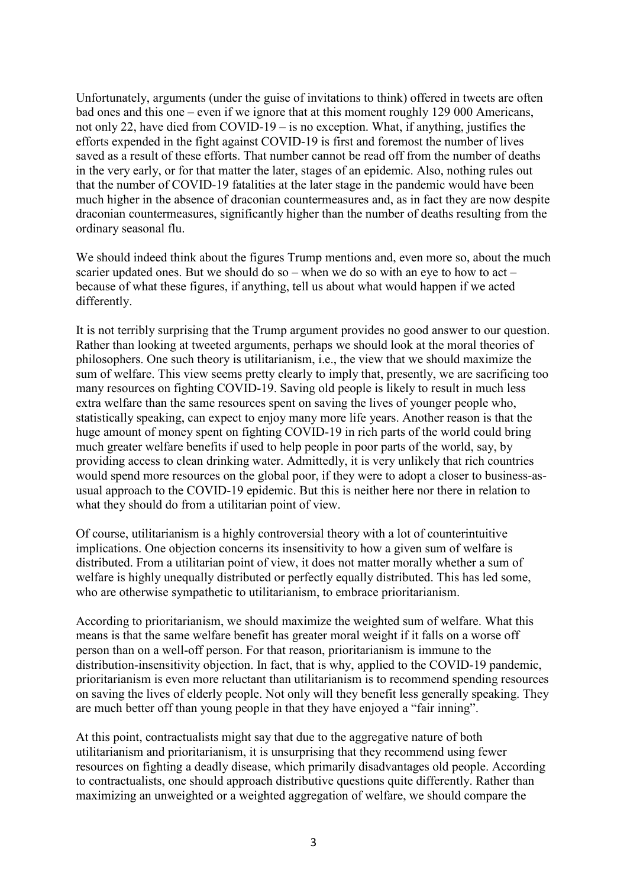Unfortunately, arguments (under the guise of invitations to think) offered in tweets are often bad ones and this one – even if we ignore that at this moment roughly 129 000 Americans, not only 22, have died from COVID-19 – is no exception. What, if anything, justifies the efforts expended in the fight against COVID-19 is first and foremost the number of lives saved as a result of these efforts. That number cannot be read off from the number of deaths in the very early, or for that matter the later, stages of an epidemic. Also, nothing rules out that the number of COVID-19 fatalities at the later stage in the pandemic would have been much higher in the absence of draconian countermeasures and, as in fact they are now despite draconian countermeasures, significantly higher than the number of deaths resulting from the ordinary seasonal flu.

We should indeed think about the figures Trump mentions and, even more so, about the much scarier updated ones. But we should do so – when we do so with an eye to how to act – because of what these figures, if anything, tell us about what would happen if we acted differently.

It is not terribly surprising that the Trump argument provides no good answer to our question. Rather than looking at tweeted arguments, perhaps we should look at the moral theories of philosophers. One such theory is utilitarianism, i.e., the view that we should maximize the sum of welfare. This view seems pretty clearly to imply that, presently, we are sacrificing too many resources on fighting COVID-19. Saving old people is likely to result in much less extra welfare than the same resources spent on saving the lives of younger people who, statistically speaking, can expect to enjoy many more life years. Another reason is that the huge amount of money spent on fighting COVID-19 in rich parts of the world could bring much greater welfare benefits if used to help people in poor parts of the world, say, by providing access to clean drinking water. Admittedly, it is very unlikely that rich countries would spend more resources on the global poor, if they were to adopt a closer to business-asusual approach to the COVID-19 epidemic. But this is neither here nor there in relation to what they should do from a utilitarian point of view.

Of course, utilitarianism is a highly controversial theory with a lot of counterintuitive implications. One objection concerns its insensitivity to how a given sum of welfare is distributed. From a utilitarian point of view, it does not matter morally whether a sum of welfare is highly unequally distributed or perfectly equally distributed. This has led some, who are otherwise sympathetic to utilitarianism, to embrace prioritarianism.

According to prioritarianism, we should maximize the weighted sum of welfare. What this means is that the same welfare benefit has greater moral weight if it falls on a worse off person than on a well-off person. For that reason, prioritarianism is immune to the distribution-insensitivity objection. In fact, that is why, applied to the COVID-19 pandemic, prioritarianism is even more reluctant than utilitarianism is to recommend spending resources on saving the lives of elderly people. Not only will they benefit less generally speaking. They are much better off than young people in that they have enjoyed a "fair inning".

At this point, contractualists might say that due to the aggregative nature of both utilitarianism and prioritarianism, it is unsurprising that they recommend using fewer resources on fighting a deadly disease, which primarily disadvantages old people. According to contractualists, one should approach distributive questions quite differently. Rather than maximizing an unweighted or a weighted aggregation of welfare, we should compare the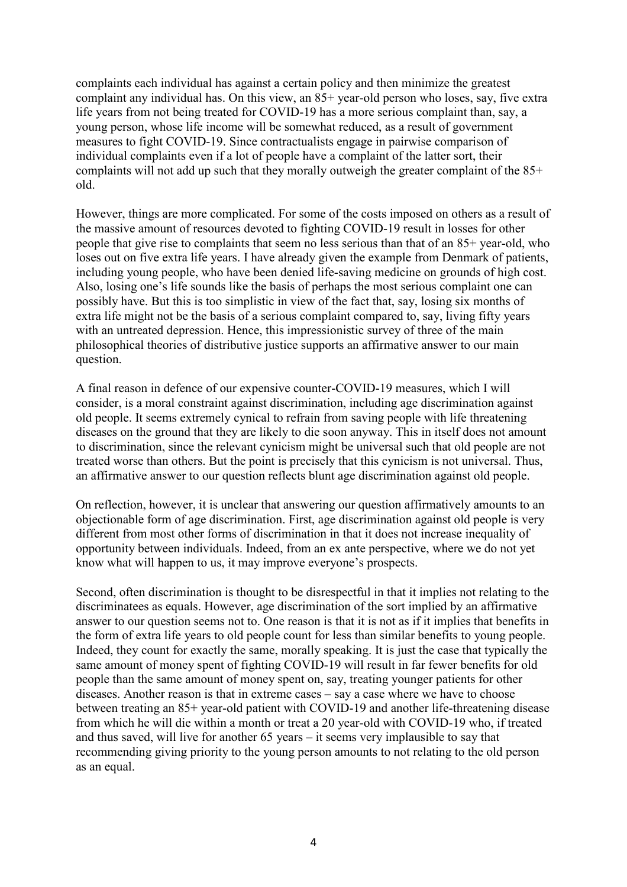complaints each individual has against a certain policy and then minimize the greatest complaint any individual has. On this view, an 85+ year-old person who loses, say, five extra life years from not being treated for COVID-19 has a more serious complaint than, say, a young person, whose life income will be somewhat reduced, as a result of government measures to fight COVID-19. Since contractualists engage in pairwise comparison of individual complaints even if a lot of people have a complaint of the latter sort, their complaints will not add up such that they morally outweigh the greater complaint of the 85+ old.

However, things are more complicated. For some of the costs imposed on others as a result of the massive amount of resources devoted to fighting COVID-19 result in losses for other people that give rise to complaints that seem no less serious than that of an 85+ year-old, who loses out on five extra life years. I have already given the example from Denmark of patients, including young people, who have been denied life-saving medicine on grounds of high cost. Also, losing one's life sounds like the basis of perhaps the most serious complaint one can possibly have. But this is too simplistic in view of the fact that, say, losing six months of extra life might not be the basis of a serious complaint compared to, say, living fifty years with an untreated depression. Hence, this impressionistic survey of three of the main philosophical theories of distributive justice supports an affirmative answer to our main question.

A final reason in defence of our expensive counter-COVID-19 measures, which I will consider, is a moral constraint against discrimination, including age discrimination against old people. It seems extremely cynical to refrain from saving people with life threatening diseases on the ground that they are likely to die soon anyway. This in itself does not amount to discrimination, since the relevant cynicism might be universal such that old people are not treated worse than others. But the point is precisely that this cynicism is not universal. Thus, an affirmative answer to our question reflects blunt age discrimination against old people.

On reflection, however, it is unclear that answering our question affirmatively amounts to an objectionable form of age discrimination. First, age discrimination against old people is very different from most other forms of discrimination in that it does not increase inequality of opportunity between individuals. Indeed, from an ex ante perspective, where we do not yet know what will happen to us, it may improve everyone's prospects.

Second, often discrimination is thought to be disrespectful in that it implies not relating to the discriminatees as equals. However, age discrimination of the sort implied by an affirmative answer to our question seems not to. One reason is that it is not as if it implies that benefits in the form of extra life years to old people count for less than similar benefits to young people. Indeed, they count for exactly the same, morally speaking. It is just the case that typically the same amount of money spent of fighting COVID-19 will result in far fewer benefits for old people than the same amount of money spent on, say, treating younger patients for other diseases. Another reason is that in extreme cases – say a case where we have to choose between treating an 85+ year-old patient with COVID-19 and another life-threatening disease from which he will die within a month or treat a 20 year-old with COVID-19 who, if treated and thus saved, will live for another 65 years – it seems very implausible to say that recommending giving priority to the young person amounts to not relating to the old person as an equal.